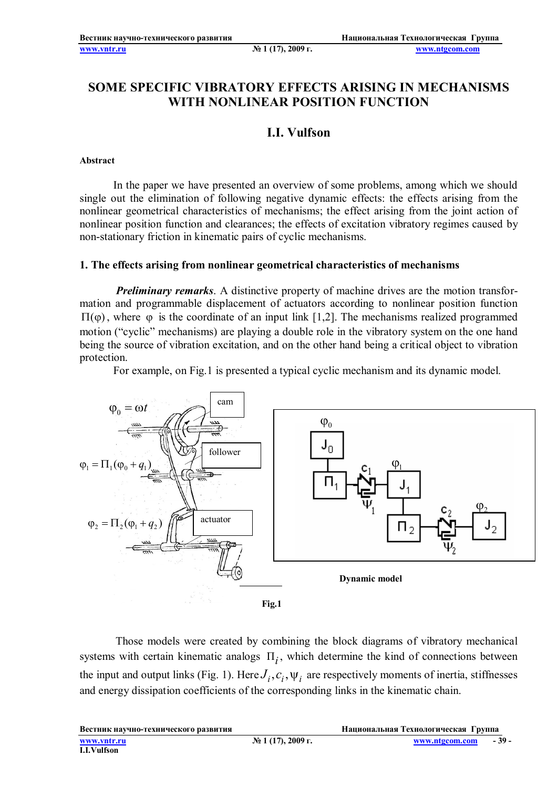# **SOME SPECIFIC VIBRATORY EFFECTS ARISING IN MECHANISMS WITH NONLINEAR POSITION FUNCTION**

## **I.I. Vulfson**

#### **Abstract**

In the paper we have presented an overview of some problems, among which we should single out the elimination of following negative dynamic effects: the effects arising from the nonlinear geometrical characteristics of mechanisms; the effect arising from the joint action of nonlinear position function and clearances; the effects of excitation vibratory regimes caused by non-stationary friction in kinematic pairs of cyclic mechanisms.

#### **1. The effects arising from nonlinear geometrical characteristics of mechanisms**

*Preliminary remarks.* A distinctive property of machine drives are the motion transformation and programmable displacement of actuators according to nonlinear position function  $\Pi(\varphi)$ , where  $\varphi$  is the coordinate of an input link [1,2]. The mechanisms realized programmed motion ("cyclic" mechanisms) are playing a double role in the vibratory system on the one hand being the source of vibration excitation, and on the other hand being a critical object to vibration protection.

For example, on Fig.1 is presented a typical cyclic mechanism and its dynamic model.



 Those models were created by combining the block diagrams of vibratory mechanical systems with certain kinematic analogs  $\Pi_i$ , which determine the kind of connections between the input and output links (Fig. 1). Here  $J_i$ ,  $c_i$ ,  $\psi_i$  are respectively moments of inertia, stiffnesses and energy dissipation coefficients of the corresponding links in the kinematic chain.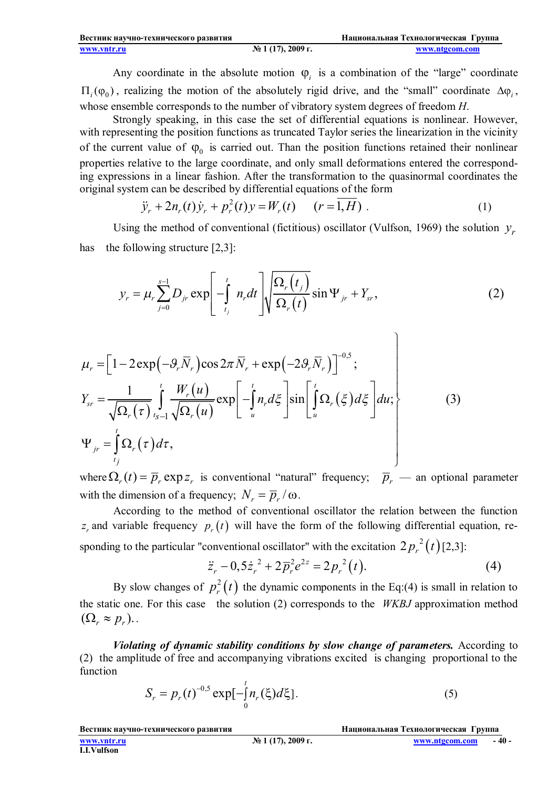Any coordinate in the absolute motion  $\varphi_i$  is a combination of the "large" coordinate  $\Pi_i(\varphi_0)$ , realizing the motion of the absolutely rigid drive, and the "small" coordinate  $\Delta \varphi_i$ , whose ensemble corresponds to the number of vibratory system degrees of freedom *H*.

Strongly speaking, in this case the set of differential equations is nonlinear. However, with representing the position functions as truncated Taylor series the linearization in the vicinity of the current value of  $\varphi_0$  is carried out. Than the position functions retained their nonlinear properties relative to the large coordinate, and only small deformations entered the corresponding expressions in a linear fashion. After the transformation to the quasinormal coordinates the original system can be described by differential equations of the form

$$
\ddot{y}_r + 2n_r(t)\dot{y}_r + p_r^2(t)y = W_r(t) \qquad (r = \overline{1, H}) \ . \tag{1}
$$

Using the method of conventional (fictitious) oscillator (Vulfson, 1969) the solution  $y_r$ has the following structure [2,3]:

$$
y_r = \mu_r \sum_{j=0}^{s-1} D_{jr} \exp\left[-\int_{t_j}^t n_r dt\right] \sqrt{\frac{\Omega_r(t_j)}{\Omega_r(t)}} \sin \Psi_{jr} + Y_{sr},\tag{2}
$$

$$
\mu_r = \left[1 - 2 \exp\left(-\mathcal{G}_r \overline{N}_r\right) \cos 2\pi \overline{N}_r + \exp\left(-2\mathcal{G}_r \overline{N}_r\right)\right]^{-0.5};
$$
\n
$$
Y_{sr} = \frac{1}{\sqrt{\Omega_r(\tau)}} \int_{t_{s-1}}^t \frac{W_r(u)}{\sqrt{\Omega_r(u)}} \exp\left[-\int_u^t n_r d\xi \right] \sin\left[\int_u^t \Omega_r(\xi) d\xi\right] du;
$$
\n
$$
\Psi_{jr} = \int_{t_j}^t \Omega_r(\tau) d\tau,
$$
\n(3)

where  $\Omega_r(t) = \overline{p}_r \exp z_r$  is conventional "natural" frequency;  $\overline{p}_r$  — an optional parameter with the dimension of a frequency;  $N_r = \overline{p}_r / \omega$ .

According to the method of conventional oscillator the relation between the function  $z_r$  and variable frequency  $p_r(t)$  will have the form of the following differential equation, responding to the particular "conventional oscillator" with the excitation  $2p_r^2(t)$  [2,3]:

$$
\ddot{z}_r - 0.5\dot{z}_r^2 + 2\overline{p}_r^2 e^{2z} = 2p_r^2(t). \tag{4}
$$

 $\lambda$ 

By slow changes of  $p_r^2(t)$  $p_r^2(t)$  the dynamic components in the Eq:(4) is small in relation to the static one. For this case the solution (2) corresponds to the *WKBJ* approximation method  $(\Omega_r \approx p_r)$ .

*Violating of dynamic stability conditions by slow change of parameters.* According to (2) the amplitude of free and accompanying vibrations excited is changing proportional to the function

$$
S_r = p_r(t)^{-0.5} \exp[-\int_0^t n_r(\xi) d\xi].
$$
 (5)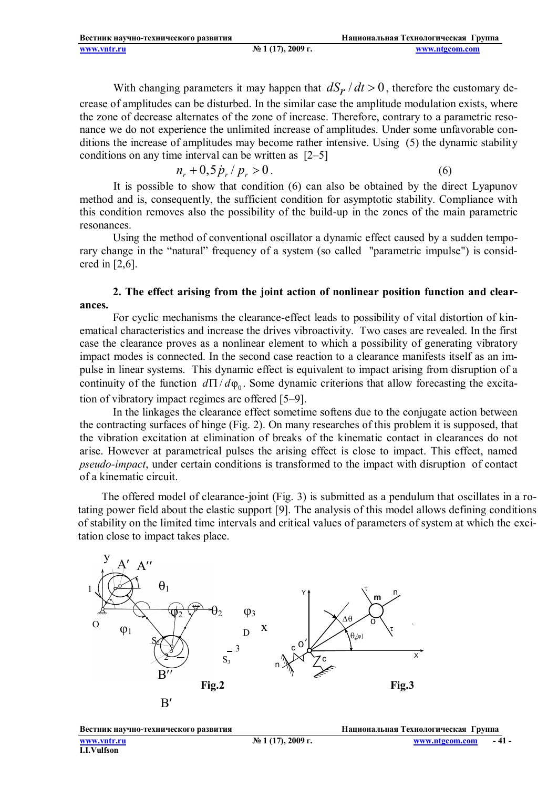With changing parameters it may happen that  $dS_r/dt > 0$ , therefore the customary decrease of amplitudes can be disturbed. In the similar case the amplitude modulation exists, where the zone of decrease alternates of the zone of increase. Therefore, contrary to a parametric resonance we do not experience the unlimited increase of amplitudes. Under some unfavorable conditions the increase of amplitudes may become rather intensive. Using (5) the dynamic stability conditions on any time interval can be written as [2–5]

$$
n_r + 0.5 \dot{p}_r / p_r > 0. \tag{6}
$$

It is possible to show that condition (6) can also be obtained by the direct Lyapunov method and is, consequently, the sufficient condition for asymptotic stability. Compliance with this condition removes also the possibility of the build-up in the zones of the main parametric resonances.

Using the method of conventional oscillator a dynamic effect caused by a sudden temporary change in the "natural" frequency of a system (so called "parametric impulse") is considered in [2,6].

#### **2. The effect arising from the joint action of nonlinear position function and clearances.**

For cyclic mechanisms the clearance-effect leads to possibility of vital distortion of kinematical characteristics and increase the drives vibroactivity. Two cases are revealed. In the first case the clearance proves as a nonlinear element to which a possibility of generating vibratory impact modes is connected. In the second case reaction to a clearance manifests itself as an impulse in linear systems. This dynamic effect is equivalent to impact arising from disruption of a continuity of the function  $d\Pi/d\varphi_0$ . Some dynamic criterions that allow forecasting the excitation of vibratory impact regimes are offered [5–9].

In the linkages the clearance effect sometime softens due to the conjugate action between the contracting surfaces of hinge (Fig. 2). On many researches of this problem it is supposed, that the vibration excitation at elimination of breaks of the kinematic contact in clearances do not arise. However at parametrical pulses the arising effect is close to impact. This effect, named *pseudo-impact*, under certain conditions is transformed to the impact with disruption of contact of a kinematic circuit.

 tating power field about the elastic support [9]. The analysis of this model allows defining conditions The offered model of clearance-joint (Fig. 3) is submitted as a pendulum that oscillates in a roof stability on the limited time intervals and critical values of parameters of system at which the excitation close to impact takes place.

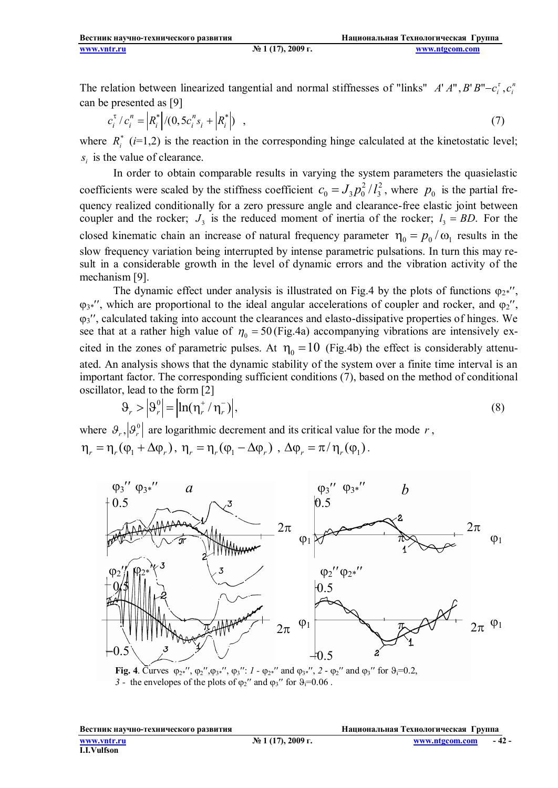The relation between linearized tangential and normal stiffnesses of "links"  $A' A''$ ,  $B'B''-c_i^{\tau}$ ,  $c_i^{\tau}$ can be presented as [9]

$$
c_i^{\tau} / c_i^n = \left| R_i^* \right| / (0, 5c_i^n s_i + \left| R_i^* \right|) \quad , \tag{7}
$$

where  $R_i^*$  ( $i=1,2$ ) is the reaction in the corresponding hinge calculated at the kinetostatic level;  $s_i$  is the value of clearance.

In order to obtain comparable results in varying the system parameters the quasielastic coefficients were scaled by the stiffness coefficient  $c_0 = J_3 p_0^2 / l_3^2$ , where  $p_0$  is the partial frequency realized conditionally for a zero pressure angle and clearance-free elastic joint between coupler and the rocker;  $J_3$  is the reduced moment of inertia of the rocker;  $l_3 = BD$ . For the closed kinematic chain an increase of natural frequency parameter  $\eta_0 = p_0 / \omega_1$  results in the slow frequency variation being interrupted by intense parametric pulsations. In turn this may result in a considerable growth in the level of dynamic errors and the vibration activity of the mechanism [9].

The dynamic effect under analysis is illustrated on Fig.4 by the plots of functions  $\varphi_{2*}$ ,  $\varphi_{3*}$ ", which are proportional to the ideal angular accelerations of coupler and rocker, and  $\varphi_2$ ",  $\varphi_3$ , calculated taking into account the clearances and elasto-dissipative properties of hinges. We see that at a rather high value of  $\eta_0 = 50$  (Fig.4a) accompanying vibrations are intensively excited in the zones of parametric pulses. At  $\eta_0 = 10$  (Fig.4b) the effect is considerably attenuated. An analysis shows that the dynamic stability of the system over a finite time interval is an important factor. The corresponding sufficient conditions (7), based on the method of conditional oscillator, lead to the form [2]

$$
\mathcal{G}_r > \left| \mathcal{G}_r^0 \right| = \left| \ln(\eta_r^+ / \eta_r^-) \right|,\tag{8}
$$

where  $\mathcal{F}_r$ ,  $\mathcal{F}_r^0$  are logarithmic decrement and its critical value for the mode *r*,  $\eta_r = \eta_r (\varphi_1 + \Delta \varphi_r), \ \eta_r = \eta_r (\varphi_1 - \Delta \varphi_r) , \ \Delta \varphi_r = \pi / \eta_r (\varphi_1).$ 



**Fig. 4**. Curves  $\varphi_2$ <sup>\*'</sup>,  $\varphi_2$ '', $\varphi_3$ <sup>\*'</sup>',  $\varphi_3$ '': *1* -  $\varphi_2$ <sup>\*'</sup> and  $\varphi_3$ <sup>\*''</sup>, 2 -  $\varphi_2$ <sup>''</sup> and  $\varphi_3$ <sup>''</sup> for  $\vartheta_3 = 0.2$ , *3* - the envelopes of the plots of  $\varphi_2$ " and  $\varphi_3$ " for  $\varphi_1=0.06$ .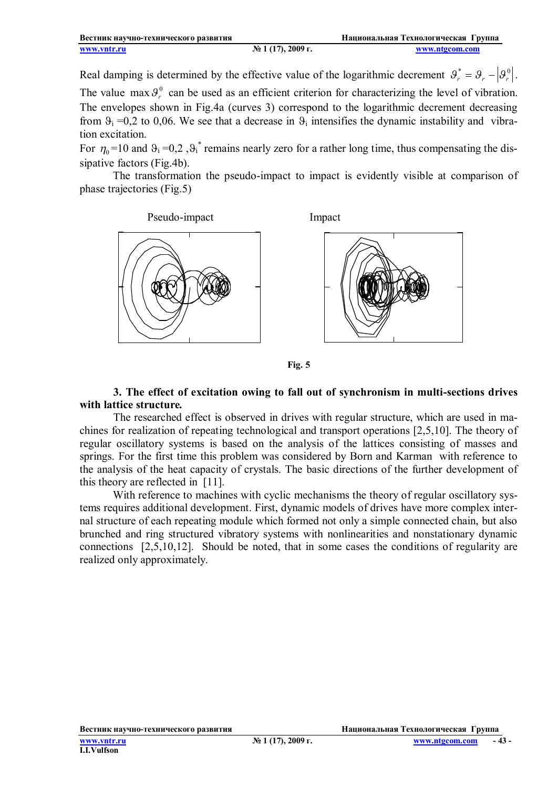Real damping is determined by the effective value of the logarithmic decrement  $\theta_r^* = \theta_r - |\theta_r^0|$ . The value max  $\theta_r^0$  can be used as an efficient criterion for characterizing the level of vibration. The envelopes shown in Fig.4a (curves 3) correspond to the logarithmic decrement decreasing from  $\theta_i = 0.2$  to 0,06. We see that a decrease in  $\theta_i$  intensifies the dynamic instability and vibration excitation.

For  $\eta_0 = 10$  and  $\theta_i = 0,2$ ,  $\theta_i^*$  remains nearly zero for a rather long time, thus compensating the dissipative factors (Fig.4b).

The transformation the pseudo-impact to impact is evidently visible at comparison of phase trajectories (Fig.5)







#### **3. The effect of excitation owing to fall out of synchronism in multi-sections drives with lattice structure***.*

The researched effect is observed in drives with regular structure, which are used in machines for realization of repeating technological and transport operations [2,5,10]. The theory of regular oscillatory systems is based on the analysis of the lattices consisting of masses and springs. For the first time this problem was considered by Born and Karman with reference to the analysis of the heat capacity of crystals. The basic directions of the further development of this theory are reflected in [11].

With reference to machines with cyclic mechanisms the theory of regular oscillatory systems requires additional development. First, dynamic models of drives have more complex internal structure of each repeating module which formed not only a simple connected chain, but also brunched and ring structured vibratory systems with nonlinearities and nonstationary dynamic connections [2,5,10,12]. Should be noted, that in some cases the conditions of regularity are realized only approximately.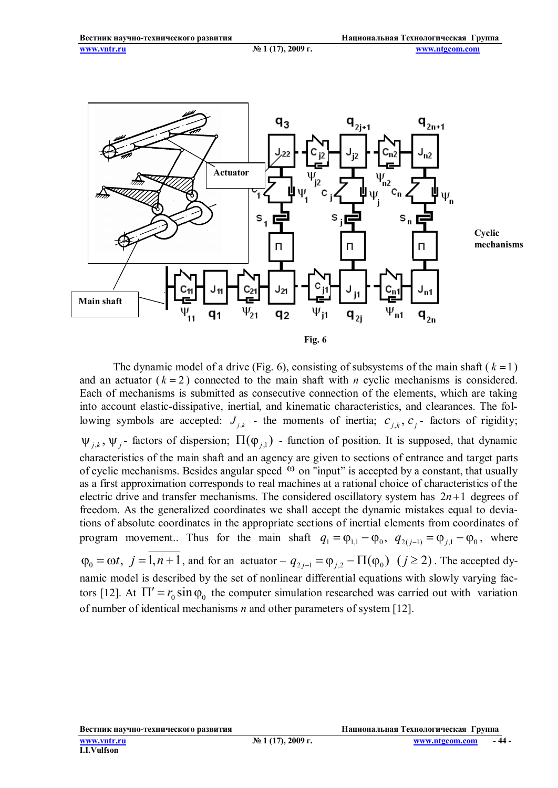

**Cyclic mechanisms**

The dynamic model of a drive (Fig. 6), consisting of subsystems of the main shaft ( $k = 1$ ) and an actuator  $(k = 2)$  connected to the main shaft with *n* cyclic mechanisms is considered. Each of mechanisms is submitted as consecutive connection of the elements, which are taking into account elastic-dissipative, inertial, and kinematic characteristics, and clearances. The following symbols are accepted:  $J_{j,k}$  - the moments of inertia;  $c_{j,k}$ ,  $c_j$ - factors of rigidity;  $\psi_{j,k}$ ,  $\psi_j$ - factors of dispersion;  $\Pi(\varphi_{j,1})$  - function of position. It is supposed, that dynamic characteristics of the main shaft and an agency are given to sections of entrance and target parts of cyclic mechanisms. Besides angular speed  $\omega$  on "input" is accepted by a constant, that usually as a first approximation corresponds to real machines at a rational choice of characteristics of the electric drive and transfer mechanisms. The considered oscillatory system has  $2n+1$  degrees of freedom. As the generalized coordinates we shall accept the dynamic mistakes equal to deviations of absolute coordinates in the appropriate sections of inertial elements from coordinates of program movement.. Thus for the main shaft  $q_1 = \varphi_{1,1} - \varphi_0$ ,  $q_{2(j-1)} = \varphi_{j,1} - \varphi_0$ , where  $\varphi_0 = \omega t$ ,  $j = 1, n + 1$ , and for an actuator  $-q_{2j-1} = \varphi_{j,2} - \Pi(\varphi_0)$   $(j \ge 2)$ . The accepted dynamic model is described by the set of nonlinear differential equations with slowly varying factors [12]. At  $\Pi' = r_0 \sin \varphi_0$  the computer simulation researched was carried out with variation of number of identical mechanisms *n* and other parameters of system [12].

**Вестник научно-технического развития Национальная Технологическая Группа**

**- 44 -**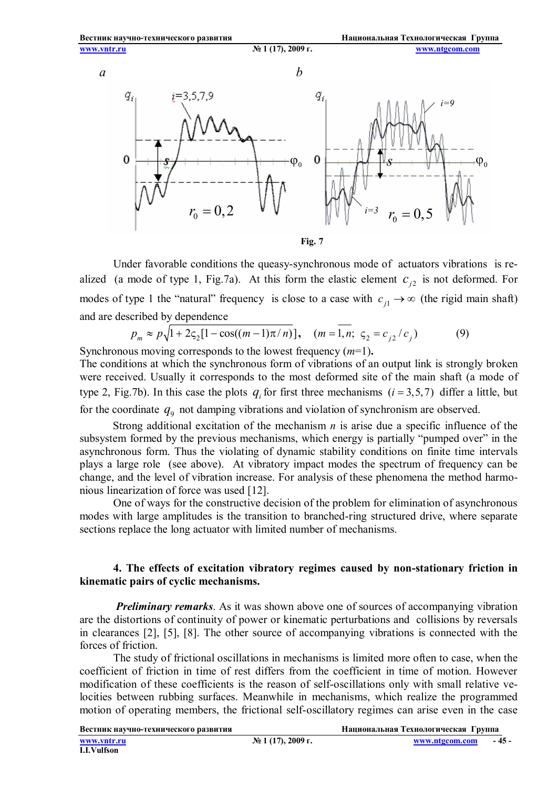

Under favorable conditions the queasy-synchronous mode of actuators vibrations is realized (a mode of type 1, Fig.7a). At this form the elastic element  $c_{i2}$  is not deformed. For modes of type 1 the "natural" frequency is close to a case with  $c_{j1} \rightarrow \infty$  (the rigid main shaft) and are described by dependence

$$
p_m \approx p\sqrt{1 + 2\varsigma_2[1 - \cos((m-1)\pi/n)]}, \quad (m = \overline{1, n}; \, \varsigma_2 = c_{j2}/c_j)
$$
 (9)  
Synchronous moving corresponds to the lowest frequency  $(m=1)$ .

The conditions at which the synchronous form of vibrations of an output link is strongly broken were received. Usually it corresponds to the most deformed site of the main shaft (a mode of type 2, Fig.7b). In this case the plots  $q_i$  for first three mechanisms ( $i = 3,5,7$ ) differ a little, but

for the coordinate  $q_9$  not damping vibrations and violation of synchronism are observed.

Strong additional excitation of the mechanism *n* is arise due a specific influence of the subsystem formed by the previous mechanisms, which energy is partially "pumped over" in the asynchronous form. Thus the violating of dynamic stability conditions on finite time intervals plays a large role (see above). At vibratory impact modes the spectrum of frequency can be change, and the level of vibration increase. For analysis of these phenomena the method harmonious linearization of force was used [12].

One of ways for the constructive decision of the problem for elimination of asynchronous modes with large amplitudes is the transition to branched-ring structured drive, where separate sections replace the long actuator with limited number of mechanisms.

### **4. The effects of excitation vibratory regimes caused by non-stationary friction in kinematic pairs of cyclic mechanisms.**

*Preliminary remarks*. As it was shown above one of sources of accompanying vibration are the distortions of continuity of power or kinematic perturbations and collisions by reversals in clearances [2], [5], [8]. The other source of accompanying vibrations is connected with the forces of friction.

The study of frictional oscillations in mechanisms is limited more often to case, when the coefficient of friction in time of rest differs from the coefficient in time of motion. However modification of these coefficients is the reason of self-oscillations only with small relative velocities between rubbing surfaces. Meanwhile in mechanisms, which realize the programmed motion of operating members, the frictional self-oscillatory regimes can arise even in the case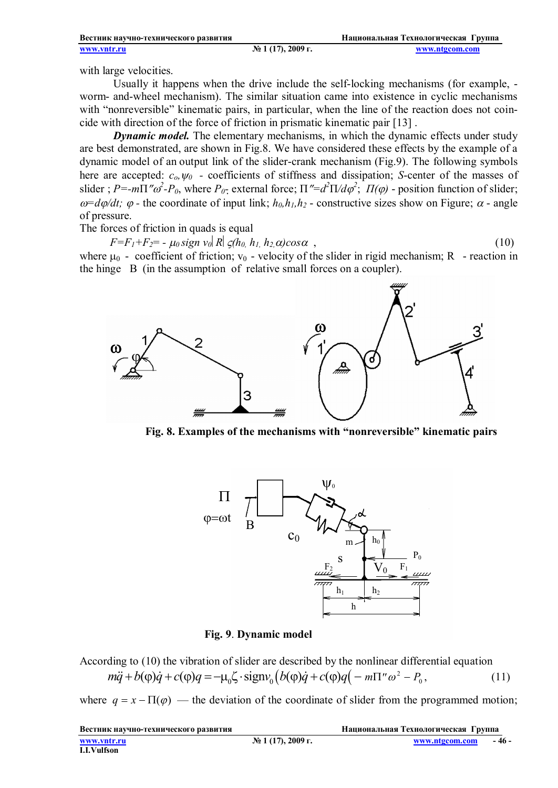| Вестник научно-технического развития |                      | Национальная Технологическая Группа |
|--------------------------------------|----------------------|-------------------------------------|
| www.yntr.ru                          | $N2$ 1 (17), 2009 г. | www.ntgcom.com                      |

with large velocities.

Usually it happens when the drive include the self-locking mechanisms (for example, worm- and-wheel mechanism). The similar situation came into existence in cyclic mechanisms with "nonreversible" kinematic pairs, in particular, when the line of the reaction does not coincide with direction of the force of friction in prismatic kinematic pair [13] .

*Dynamic model*. The elementary mechanisms, in which the dynamic effects under study are best demonstrated, are shown in Fig.8. We have considered these effects by the example of a dynamic model of an output link of the slider-crank mechanism (Fig.9). The following symbols here are accepted:  $c_0$ ,  $\psi_0$  - coefficients of stiffness and dissipation; *S*-center of the masses of slider ;  $P = -m\Pi''\omega^2 - P_0$ , where  $P_0$ - external force;  $\Pi'' = d^2\Pi/d\varphi^2$ ;  $\Pi(\varphi)$  - position function of slider;  $\omega = d\varphi/dt$ ;  $\varphi$  - the coordinate of input link;  $h_0, h_1, h_2$  - constructive sizes show on Figure;  $\alpha$  - angle of pressure.

The forces of friction in quads is equal

 $F = F_1 + F_2 = -\mu_0 \text{sign } v_0 |R| \zeta(h_0, h_1, h_2, \alpha) \cos \alpha$ , (10)

where  $\mu_0$  - coefficient of friction;  $v_0$  - velocity of the slider in rigid mechanism; R - reaction in the hinge B (in the assumption of relative small forces on a coupler).



**Fig. 8. Examples of the mechanisms with "nonreversible" kinematic pairs**



#### **Fig. 9**. **Dynamic model**

According to (10) the vibration of slider are described by the nonlinear differential equation  $m\ddot{q} + b(\phi)\dot{q} + c(\phi)q = -\mu_0 \zeta \cdot \text{sign}v_0 \left( b(\phi)\dot{q} + c(\phi)q\right) - m\pi^{\prime\prime} \omega^2 - P_0$ 0  $(11)$ 

where  $q = x - \Pi(\varphi)$  — the deviation of the coordinate of slider from the programmed motion;

| Вестник научно-технического развития |                                 | Национальная Технологическая Группа |      |
|--------------------------------------|---------------------------------|-------------------------------------|------|
| www.yntr.ru                          | $\mathcal{N}$ 2 1 (17), 2009 г. | www.ntgcom.com                      | $-4$ |
| <b>I.I.Vulfson</b>                   |                                 |                                     |      |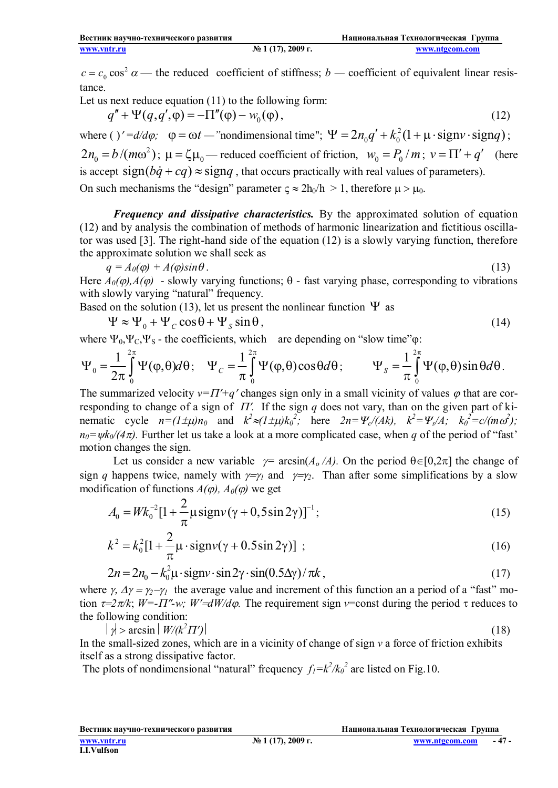$c = c_0 \cos^2 \alpha$  — the reduced coefficient of stiffness; *b* — coefficient of equivalent linear resistance.

Let us next reduce equation (11) to the following form:

$$
q'' + \Psi(q, q', \varphi) = -\Pi''(\varphi) - w_0(\varphi), \qquad (12)
$$

where ( )'= $d/d\varphi$ ;  $\varphi = \omega t$  — "nondimensional time";  $\Psi = 2n_0q' + k_0^2(1 + \mu \cdot signv \cdot signq)$ ; 2  $2n_0 = b/(m\omega^2)$ ;  $\mu = \zeta \mu_0$  – reduced coefficient of friction,  $w_0 = P_0/m$ ;  $v = \Pi' + q'$  (here is accept sign( $b\dot{q} + cq$ )  $\approx$  signq, that occurs practically with real values of parameters). On such mechanisms the "design" parameter  $c \approx 2h_0/h > 1$ , therefore  $\mu > \mu_0$ .

*Frequency and dissipative characteristics.* By the approximated solution of equation (12) and by analysis the combination of methods of harmonic linearization and fictitious oscillator was used [3]. The right-hand side of the equation (12) is a slowly varying function, therefore the approximate solution we shall seek as

$$
q = A_0(\varphi) + A(\varphi)\sin\theta \,. \tag{13}
$$

Here  $A_0(\varphi)$ ,  $A(\varphi)$  - slowly varying functions;  $\theta$  - fast varying phase, corresponding to vibrations with slowly varying "natural" frequency.

Based on the solution (13), let us present the nonlinear function  $\Psi$  as

 $\Psi \approx \Psi_0 + \Psi_C \cos \theta + \Psi_S \sin \theta$ , (14)

where  $\Psi_0, \Psi_C, \Psi_S$  - the coefficients, which are depending on "slow time" $\omega$ :

$$
\Psi_0 = \frac{1}{2\pi} \int_0^{2\pi} \Psi(\varphi, \theta) d\theta; \quad \Psi_C = \frac{1}{\pi} \int_0^{2\pi} \Psi(\varphi, \theta) \cos \theta d\theta; \qquad \Psi_S = \frac{1}{\pi} \int_0^{2\pi} \Psi(\varphi, \theta) \sin \theta d\theta.
$$

The summarized velocity  $v=T'+q'$  changes sign only in a small vicinity of values  $\varphi$  that are corresponding to change of a sign of  $\Pi'$ . If the sign *q* does not vary, than on the given part of kinematic cycle  $n=(1\pm\mu)n_0$  and  $k^2\approx(1\pm\mu)k_0^2$ ; here  $2n=\Psi_c/(Ak)$ ,  $k^2=\Psi_s/A$ ;  $k_0^2=c/(m\omega^2)$ ;  $n_0 = \psi k_0/(4\pi)$ . Further let us take a look at a more complicated case, when *q* of the period of "fast" motion changes the sign.

Let us consider a new variable  $\gamma = \arcsin(A_0/A)$ . On the period  $\theta \in [0,2\pi]$  the change of sign *q* happens twice, namely with  $\gamma = \gamma_1$  and  $\gamma = \gamma_2$ . Than after some simplifications by a slow modification of functions  $A(\varphi)$ ,  $A_0(\varphi)$  we get

$$
A_0 = W k_0^{-2} [1 + \frac{2}{\pi} \mu \text{sign}(\gamma + 0.5 \sin 2\gamma)]^{-1};
$$
\n(15)

$$
k^{2} = k_{0}^{2} [1 + \frac{2}{\pi} \mu \cdot signv(\gamma + 0.5 \sin 2\gamma)] ;
$$
 (16)

$$
2n = 2n_0 - k_0^2 \mu \cdot \text{sign} \cdot \sin 2\gamma \cdot \sin(0.5\Delta \gamma) / \pi k , \qquad (17)
$$

where  $\gamma$ ,  $\Delta \gamma = \gamma_2 - \gamma_1$  the average value and increment of this function an a period of a "fast" motion  $\tau = 2\pi/k$ ;  $W = -\pi r$  *w*;  $W' = dW/d\varphi$ . The requirement sign *v*=const during the period  $\tau$  reduces to the following condition:

 $|\psi| > \arcsin |W/(k^2 \pi')|$  (18)

In the small-sized zones, which are in a vicinity of change of sign *v* a force of friction exhibits itself as a strong dissipative factor.

The plots of nondimensional "natural" frequency  $f_I = k^2 / k_0^2$  are listed on Fig.10.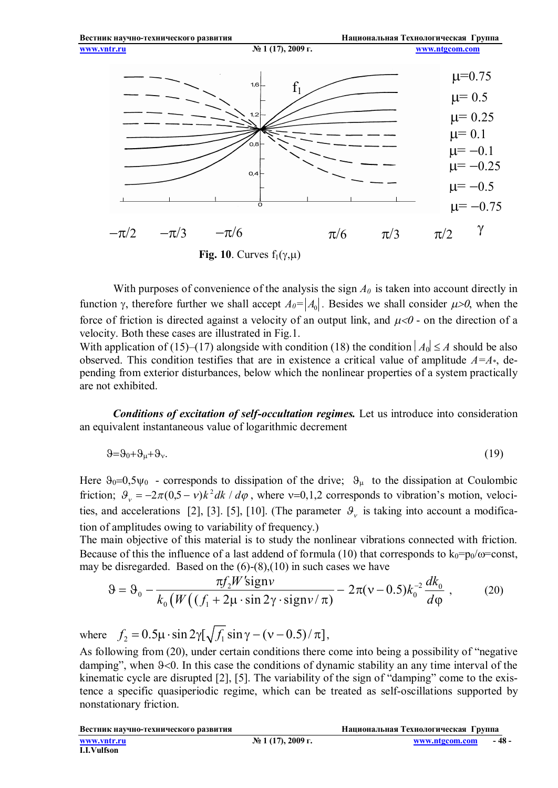

**Fig. 10**. Curves  $f_1(\gamma,\mu)$ 

With purposes of convenience of the analysis the sign *A0* is taken into account directly in function  $\gamma$ , therefore further we shall accept  $A_0 = |A_0|$ . Besides we shall consider  $\mu > 0$ , when the force of friction is directed against a velocity of an output link, and  $\mu < 0$  - on the direction of a velocity. Both these cases are illustrated in Fig.1.

With application of (15)–(17) alongside with condition (18) the condition  $|A_0| \le A$  should be also observed. This condition testifies that are in existence a critical value of amplitude  $A=A^*$ , depending from exterior disturbances, below which the nonlinear properties of a system practically are not exhibited.

*Conditions of excitation of self-occultation regimes.* Let us introduce into consideration an equivalent instantaneous value of logarithmic decrement

$$
9=90+9μ+9ν.
$$
 (19)

Here  $\theta_0 = 0.5 \Psi_0$  - corresponds to dissipation of the drive;  $\theta_\mu$  to the dissipation at Coulombic friction;  $\theta_y = -2\pi(0.5 - v)k^2 dk / d\varphi$ , where v=0,1,2 corresponds to vibration's motion, velocities, and accelerations [2], [3]. [5], [10]. (The parameter  $\mathcal{F}_{\nu}$  is taking into account a modification of amplitudes owing to variability of frequency.)

The main objective of this material is to study the nonlinear vibrations connected with friction. Because of this the influence of a last addend of formula (10) that corresponds to  $k_0=p_0/\omega$ =const, may be disregarded. Based on the  $(6)-(8),(10)$  in such cases we have

$$
\Theta = \Theta_0 - \frac{\pi f_2 W' \text{sign} \nu}{k_0 \left( W \left( (f_1 + 2\mu \cdot \sin 2\gamma \cdot \text{sign} \nu / \pi \right) - 2\pi (v - 0.5) k_0^{-2} \frac{dk_0}{d\varphi} \right)},\tag{20}
$$

where  $f_2 = 0.5 \mu \cdot \sin 2\gamma [\sqrt{f_1} \sin \gamma - (\nu - 0.5)/\pi]$ ,

As following from (20), under certain conditions there come into being a possibility of "negative damping", when  $9<0$ . In this case the conditions of dynamic stability an any time interval of the kinematic cycle are disrupted [2], [5]. The variability of the sign of "damping" come to the existence a specific quasiperiodic regime, which can be treated as self-oscillations supported by nonstationary friction.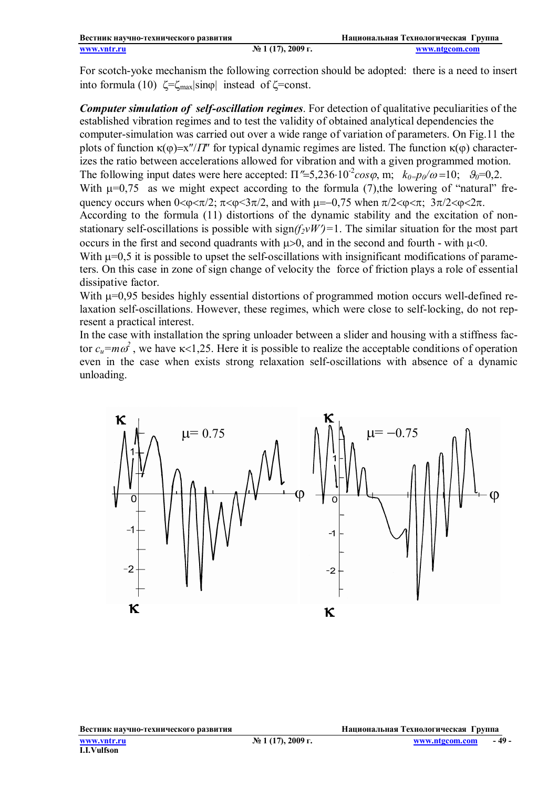For scotch-yoke mechanism the following correction should be adopted: there is a need to insert into formula (10)  $\zeta = \zeta_{\text{max}} |\sin \varphi|$  instead of  $\zeta = \text{const.}$ 

*Computer simulation of self-oscillation regimes*. For detection of qualitative peculiarities of the established vibration regimes and to test the validity of obtained analytical dependencies the computer-simulation was carried out over a wide range of variation of parameters. On Fig.11 the plots of function  $\kappa(\varphi)=x''/T''$  for typical dynamic regimes are listed. The function  $\kappa(\varphi)$  characterizes the ratio between accelerations allowed for vibration and with a given programmed motion. The following input dates were here accepted:  $\Pi$ ''=5,236·10<sup>-2</sup>*cos* $\varphi$ , m;  $k_{0} = p_{0}/\omega = 10$ ;  $\vartheta_{0} = 0,2$ . With  $\mu$ =0,75 as we might expect according to the formula (7), the lowering of "natural" frequency occurs when  $0 < \varphi < \pi/2$ ;  $\pi < \varphi < 3\pi/2$ , and with  $\mu = -0.75$  when  $\pi/2 < \varphi < \pi$ ;  $3\pi/2 < \varphi < 2\pi$ . According to the formula (11) distortions of the dynamic stability and the excitation of nonstationary self-oscillations is possible with  $sign(f_2 vW')=1$ . The similar situation for the most part occurs in the first and second quadrants with  $\mu$  >0, and in the second and fourth - with  $\mu$  <0. With  $\mu$ =0,5 it is possible to upset the self-oscillations with insignificant modifications of parameters. On this case in zone of sign change of velocity the force of friction plays a role of essential dissipative factor.

With  $\mu$ =0,95 besides highly essential distortions of programmed motion occurs well-defined relaxation self-oscillations. However, these regimes, which were close to self-locking, do not represent a practical interest.

In the case with installation the spring unloader between a slider and housing with a stiffness factor  $c_u = m\omega^2$ , we have  $\kappa < 1,25$ . Here it is possible to realize the acceptable conditions of operation even in the case when exists strong relaxation self-oscillations with absence of a dynamic unloading.

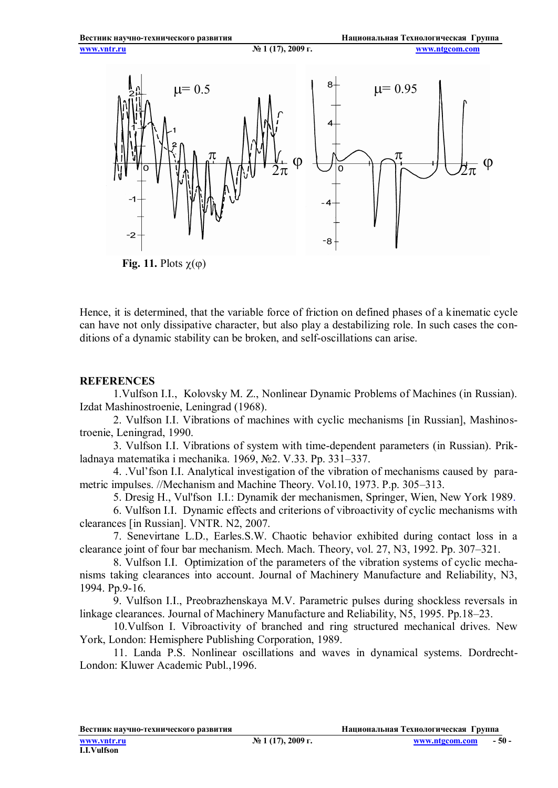

Hence, it is determined, that the variable force of friction on defined phases of a kinematic cycle can have not only dissipative character, but also play a destabilizing role. In such cases the conditions of a dynamic stability can be broken, and self-oscillations can arise.

#### **REFERENCES**

1.Vulfson I.I., Kolovsky M. Z., Nonlinear Dynamic Problems of Machines (in Russian). Izdat Mashinostroenie, Leningrad (1968).

2. Vulfson I.I. Vibrations of machines with cyclic mechanisms [in Russian], Mashinostroenie, Leningrad, 1990.

3. Vulfson I.I. Vibrations of system with time-dependent parameters (in Russian). Prikladnaya matematika i mechanika. 1969, №2. V.33. Pp. 331–337.

4. .Vul'fson I.I. Analytical investigation of the vibration of mechanisms caused by parametric impulses. //Mechanism and Machine Theory. Vol.10, 1973. P.p. 305–313.

5. Dresig H., Vul'fson I.I.: Dynamik der mechanismen, Springer, Wien, New York 1989.

6. Vulfson I.I. Dynamic effects and criterions of vibroactivity of cyclic mechanisms with clearances [in Russian]. VNTR. N2, 2007.

7. Senevirtane L.D., Earles.S.W. Chaotic behavior exhibited during contact loss in a clearance joint of four bar mechanism. Mech. Mach. Theory, vol. 27, N3, 1992. Pp. 307–321.

8. Vulfson I.I. Optimization of the parameters of the vibration systems of cyclic mechanisms taking clearances into account. Journal of Machinery Manufacture and Reliability, N3, 1994. Pp.9-16.

9. Vulfson I.I., Preobrazhenskaya M.V. Parametric pulses during shockless reversals in linkage clearances. Journal of Machinery Manufacture and Reliability, N5, 1995. Pp.18–23.

10.Vulfson I. Vibroactivity of branched and ring structured mechanical drives. New York, London: Hemisphere Publishing Corporation, 1989.

11. Landa P.S. Nonlinear oscillations and waves in dynamical systems. Dordrecht-London: Kluwer Academic Publ.,1996.